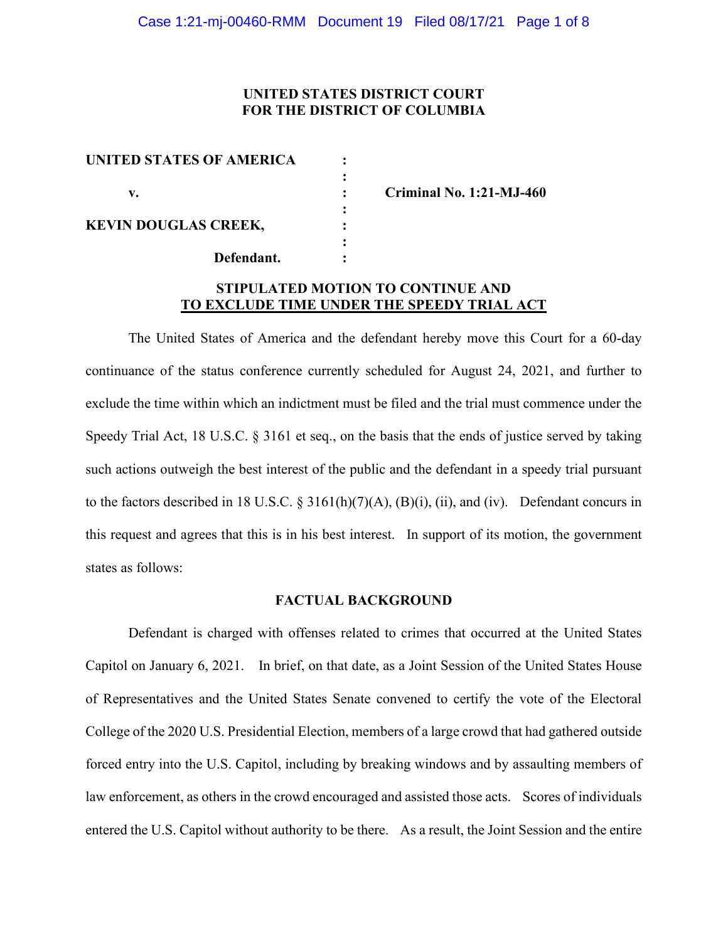## **UNITED STATES DISTRICT COURT FOR THE DISTRICT OF COLUMBIA**

| UNITED STATES OF AMERICA    |  |
|-----------------------------|--|
|                             |  |
| v.                          |  |
| <b>KEVIN DOUGLAS CREEK,</b> |  |
|                             |  |
| Defendant.                  |  |
|                             |  |

**v. : Criminal No. 1:21-MJ-460**

# **STIPULATED MOTION TO CONTINUE AND TO EXCLUDE TIME UNDER THE SPEEDY TRIAL ACT**

The United States of America and the defendant hereby move this Court for a 60-day continuance of the status conference currently scheduled for August 24, 2021, and further to exclude the time within which an indictment must be filed and the trial must commence under the Speedy Trial Act, 18 U.S.C. § 3161 et seq., on the basis that the ends of justice served by taking such actions outweigh the best interest of the public and the defendant in a speedy trial pursuant to the factors described in 18 U.S.C.  $\S$  3161(h)(7)(A), (B)(i), (ii), and (iv). Defendant concurs in this request and agrees that this is in his best interest. In support of its motion, the government states as follows:

#### **FACTUAL BACKGROUND**

Defendant is charged with offenses related to crimes that occurred at the United States Capitol on January 6, 2021. In brief, on that date, as a Joint Session of the United States House of Representatives and the United States Senate convened to certify the vote of the Electoral College of the 2020 U.S. Presidential Election, members of a large crowd that had gathered outside forced entry into the U.S. Capitol, including by breaking windows and by assaulting members of law enforcement, as others in the crowd encouraged and assisted those acts. Scores of individuals entered the U.S. Capitol without authority to be there. As a result, the Joint Session and the entire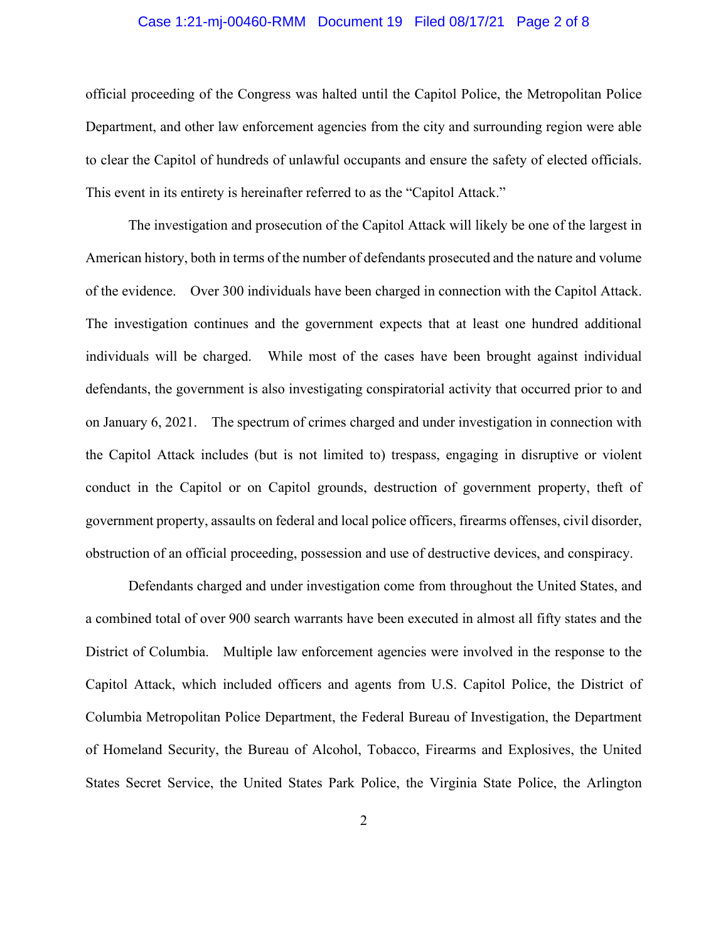## Case 1:21-mj-00460-RMM Document 19 Filed 08/17/21 Page 2 of 8

official proceeding of the Congress was halted until the Capitol Police, the Metropolitan Police Department, and other law enforcement agencies from the city and surrounding region were able to clear the Capitol of hundreds of unlawful occupants and ensure the safety of elected officials. This event in its entirety is hereinafter referred to as the "Capitol Attack."

The investigation and prosecution of the Capitol Attack will likely be one of the largest in American history, both in terms of the number of defendants prosecuted and the nature and volume of the evidence. Over 300 individuals have been charged in connection with the Capitol Attack. The investigation continues and the government expects that at least one hundred additional individuals will be charged. While most of the cases have been brought against individual defendants, the government is also investigating conspiratorial activity that occurred prior to and on January 6, 2021. The spectrum of crimes charged and under investigation in connection with the Capitol Attack includes (but is not limited to) trespass, engaging in disruptive or violent conduct in the Capitol or on Capitol grounds, destruction of government property, theft of government property, assaults on federal and local police officers, firearms offenses, civil disorder, obstruction of an official proceeding, possession and use of destructive devices, and conspiracy.

Defendants charged and under investigation come from throughout the United States, and a combined total of over 900 search warrants have been executed in almost all fifty states and the District of Columbia. Multiple law enforcement agencies were involved in the response to the Capitol Attack, which included officers and agents from U.S. Capitol Police, the District of Columbia Metropolitan Police Department, the Federal Bureau of Investigation, the Department of Homeland Security, the Bureau of Alcohol, Tobacco, Firearms and Explosives, the United States Secret Service, the United States Park Police, the Virginia State Police, the Arlington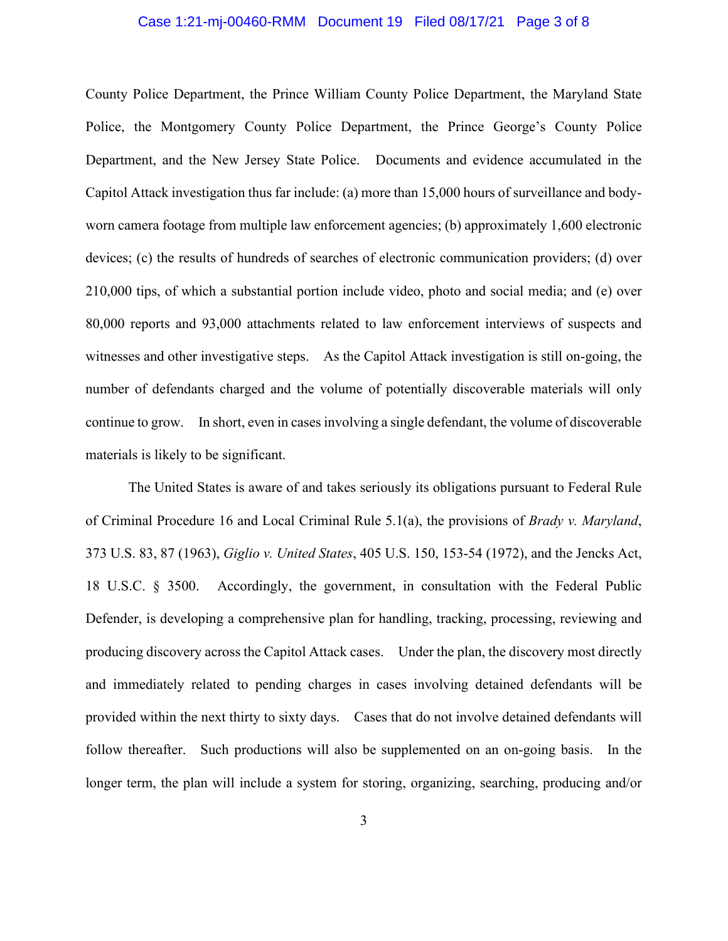#### Case 1:21-mj-00460-RMM Document 19 Filed 08/17/21 Page 3 of 8

County Police Department, the Prince William County Police Department, the Maryland State Police, the Montgomery County Police Department, the Prince George's County Police Department, and the New Jersey State Police. Documents and evidence accumulated in the Capitol Attack investigation thus far include: (a) more than 15,000 hours of surveillance and bodyworn camera footage from multiple law enforcement agencies; (b) approximately 1,600 electronic devices; (c) the results of hundreds of searches of electronic communication providers; (d) over 210,000 tips, of which a substantial portion include video, photo and social media; and (e) over 80,000 reports and 93,000 attachments related to law enforcement interviews of suspects and witnesses and other investigative steps. As the Capitol Attack investigation is still on-going, the number of defendants charged and the volume of potentially discoverable materials will only continue to grow. In short, even in cases involving a single defendant, the volume of discoverable materials is likely to be significant.

The United States is aware of and takes seriously its obligations pursuant to Federal Rule of Criminal Procedure 16 and Local Criminal Rule 5.1(a), the provisions of *Brady v. Maryland*, 373 U.S. 83, 87 (1963), *Giglio v. United States*, 405 U.S. 150, 153-54 (1972), and the Jencks Act, 18 U.S.C. § 3500. Accordingly, the government, in consultation with the Federal Public Defender, is developing a comprehensive plan for handling, tracking, processing, reviewing and producing discovery across the Capitol Attack cases. Under the plan, the discovery most directly and immediately related to pending charges in cases involving detained defendants will be provided within the next thirty to sixty days. Cases that do not involve detained defendants will follow thereafter. Such productions will also be supplemented on an on-going basis. In the longer term, the plan will include a system for storing, organizing, searching, producing and/or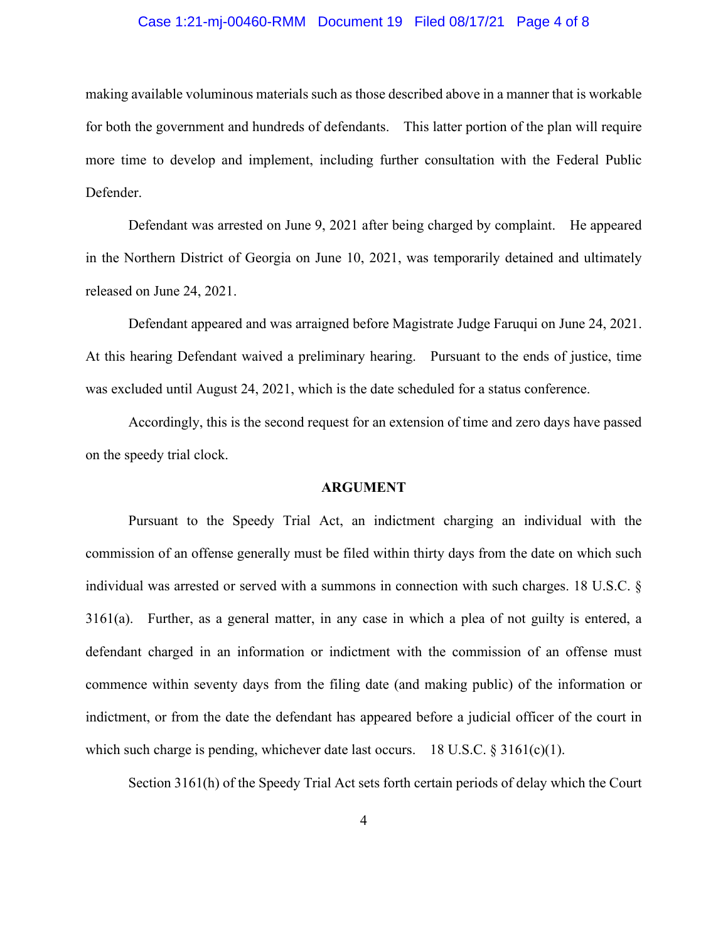### Case 1:21-mj-00460-RMM Document 19 Filed 08/17/21 Page 4 of 8

making available voluminous materials such as those described above in a manner that is workable for both the government and hundreds of defendants. This latter portion of the plan will require more time to develop and implement, including further consultation with the Federal Public Defender.

Defendant was arrested on June 9, 2021 after being charged by complaint. He appeared in the Northern District of Georgia on June 10, 2021, was temporarily detained and ultimately released on June 24, 2021.

Defendant appeared and was arraigned before Magistrate Judge Faruqui on June 24, 2021. At this hearing Defendant waived a preliminary hearing. Pursuant to the ends of justice, time was excluded until August 24, 2021, which is the date scheduled for a status conference.

Accordingly, this is the second request for an extension of time and zero days have passed on the speedy trial clock.

#### **ARGUMENT**

Pursuant to the Speedy Trial Act, an indictment charging an individual with the commission of an offense generally must be filed within thirty days from the date on which such individual was arrested or served with a summons in connection with such charges. 18 U.S.C. § 3161(a). Further, as a general matter, in any case in which a plea of not guilty is entered, a defendant charged in an information or indictment with the commission of an offense must commence within seventy days from the filing date (and making public) of the information or indictment, or from the date the defendant has appeared before a judicial officer of the court in which such charge is pending, whichever date last occurs. 18 U.S.C. § 3161(c)(1).

Section 3161(h) of the Speedy Trial Act sets forth certain periods of delay which the Court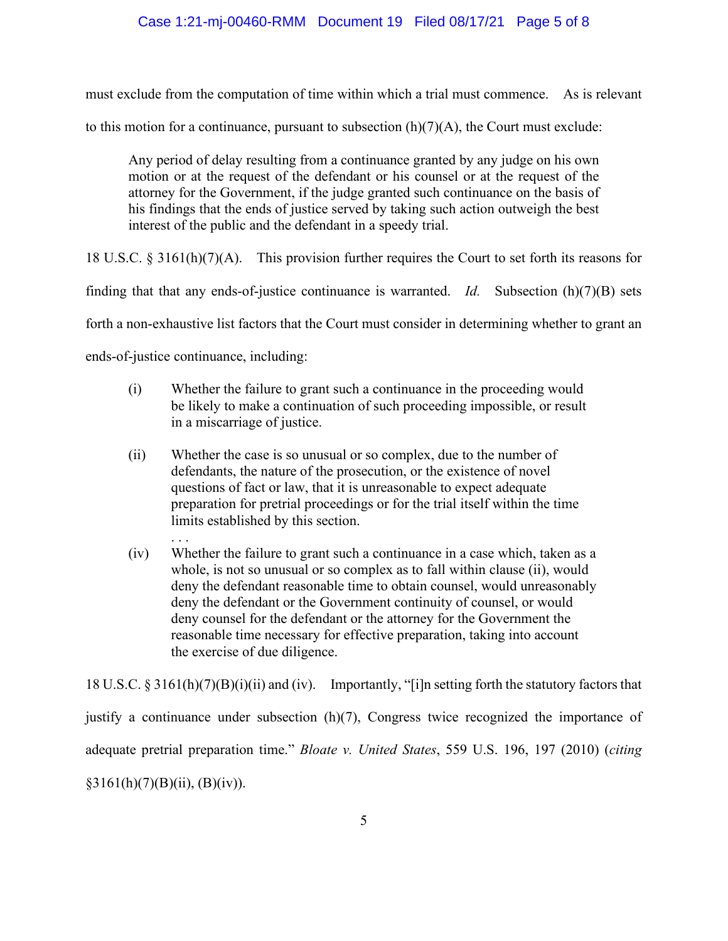## Case 1:21-mj-00460-RMM Document 19 Filed 08/17/21 Page 5 of 8

must exclude from the computation of time within which a trial must commence. As is relevant to this motion for a continuance, pursuant to subsection  $(h)(7)(A)$ , the Court must exclude:

Any period of delay resulting from a continuance granted by any judge on his own motion or at the request of the defendant or his counsel or at the request of the attorney for the Government, if the judge granted such continuance on the basis of his findings that the ends of justice served by taking such action outweigh the best interest of the public and the defendant in a speedy trial.

18 U.S.C. § 3161(h)(7)(A). This provision further requires the Court to set forth its reasons for

finding that that any ends-of-justice continuance is warranted. *Id.* Subsection (h)(7)(B) sets

forth a non-exhaustive list factors that the Court must consider in determining whether to grant an

ends-of-justice continuance, including:

- (i) Whether the failure to grant such a continuance in the proceeding would be likely to make a continuation of such proceeding impossible, or result in a miscarriage of justice.
- (ii) Whether the case is so unusual or so complex, due to the number of defendants, the nature of the prosecution, or the existence of novel questions of fact or law, that it is unreasonable to expect adequate preparation for pretrial proceedings or for the trial itself within the time limits established by this section.
- . . . (iv) Whether the failure to grant such a continuance in a case which, taken as a whole, is not so unusual or so complex as to fall within clause (ii), would deny the defendant reasonable time to obtain counsel, would unreasonably deny the defendant or the Government continuity of counsel, or would deny counsel for the defendant or the attorney for the Government the reasonable time necessary for effective preparation, taking into account the exercise of due diligence.

18 U.S.C. § 3161(h)(7)(B)(i)(ii) and (iv). Importantly, "[i]n setting forth the statutory factors that justify a continuance under subsection (h)(7), Congress twice recognized the importance of adequate pretrial preparation time." *Bloate v. United States*, 559 U.S. 196, 197 (2010) (*citing*  $§3161(h)(7)(B)(ii), (B)(iv)).$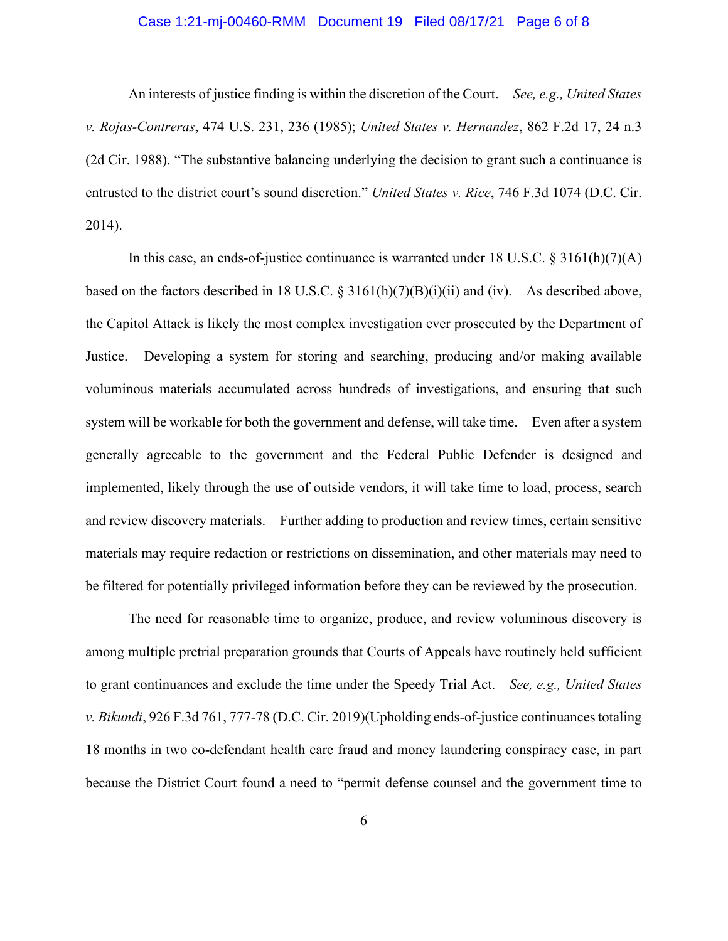## Case 1:21-mj-00460-RMM Document 19 Filed 08/17/21 Page 6 of 8

An interests of justice finding is within the discretion of the Court. *See, e.g., United States v. Rojas-Contreras*, 474 U.S. 231, 236 (1985); *United States v. Hernandez*, 862 F.2d 17, 24 n.3 (2d Cir. 1988). "The substantive balancing underlying the decision to grant such a continuance is entrusted to the district court's sound discretion." *United States v. Rice*, 746 F.3d 1074 (D.C. Cir. 2014).

In this case, an ends-of-justice continuance is warranted under 18 U.S.C. § 3161(h)(7)(A) based on the factors described in 18 U.S.C. § 3161(h)(7)(B)(i)(ii) and (iv). As described above, the Capitol Attack is likely the most complex investigation ever prosecuted by the Department of Justice. Developing a system for storing and searching, producing and/or making available voluminous materials accumulated across hundreds of investigations, and ensuring that such system will be workable for both the government and defense, will take time. Even after a system generally agreeable to the government and the Federal Public Defender is designed and implemented, likely through the use of outside vendors, it will take time to load, process, search and review discovery materials. Further adding to production and review times, certain sensitive materials may require redaction or restrictions on dissemination, and other materials may need to be filtered for potentially privileged information before they can be reviewed by the prosecution.

The need for reasonable time to organize, produce, and review voluminous discovery is among multiple pretrial preparation grounds that Courts of Appeals have routinely held sufficient to grant continuances and exclude the time under the Speedy Trial Act. *See, e.g., United States v. Bikundi*, 926 F.3d 761, 777-78 (D.C. Cir. 2019)(Upholding ends-of-justice continuances totaling 18 months in two co-defendant health care fraud and money laundering conspiracy case, in part because the District Court found a need to "permit defense counsel and the government time to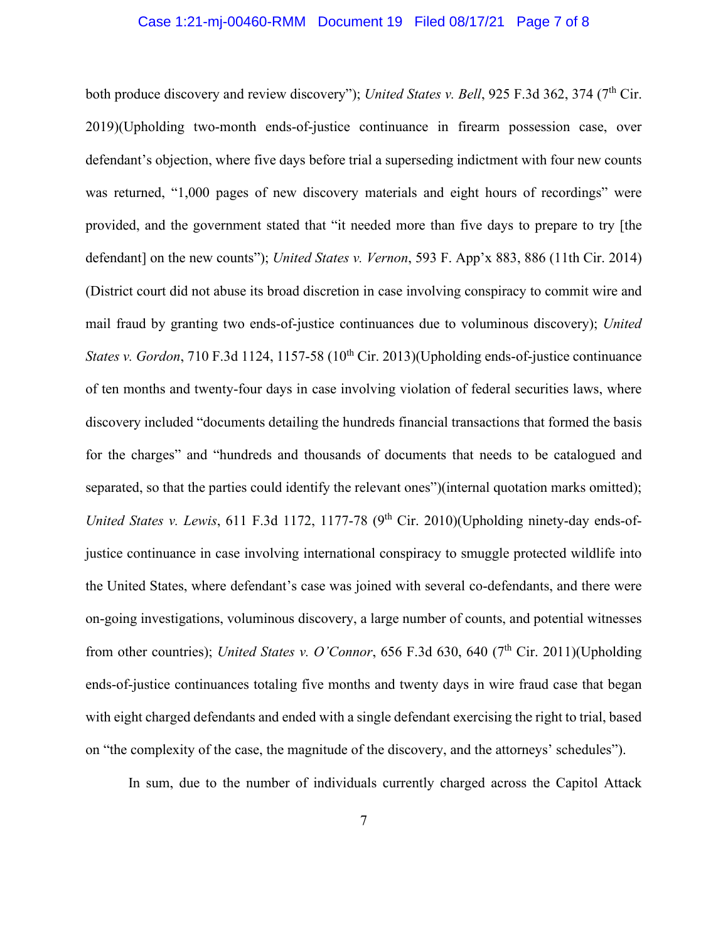#### Case 1:21-mj-00460-RMM Document 19 Filed 08/17/21 Page 7 of 8

both produce discovery and review discovery"); *United States v. Bell*, 925 F.3d 362, 374 (7<sup>th</sup> Cir. 2019)(Upholding two-month ends-of-justice continuance in firearm possession case, over defendant's objection, where five days before trial a superseding indictment with four new counts was returned, "1,000 pages of new discovery materials and eight hours of recordings" were provided, and the government stated that "it needed more than five days to prepare to try [the defendant] on the new counts"); *United States v. Vernon*, 593 F. App'x 883, 886 (11th Cir. 2014) (District court did not abuse its broad discretion in case involving conspiracy to commit wire and mail fraud by granting two ends-of-justice continuances due to voluminous discovery); *United States v. Gordon*, 710 F.3d 1124, 1157-58 (10<sup>th</sup> Cir. 2013)(Upholding ends-of-justice continuance of ten months and twenty-four days in case involving violation of federal securities laws, where discovery included "documents detailing the hundreds financial transactions that formed the basis for the charges" and "hundreds and thousands of documents that needs to be catalogued and separated, so that the parties could identify the relevant ones")(internal quotation marks omitted); *United States v. Lewis*, 611 F.3d 1172, 1177-78 (9<sup>th</sup> Cir. 2010)(Upholding ninety-day ends-ofjustice continuance in case involving international conspiracy to smuggle protected wildlife into the United States, where defendant's case was joined with several co-defendants, and there were on-going investigations, voluminous discovery, a large number of counts, and potential witnesses from other countries); *United States v. O'Connor*, 656 F.3d 630, 640 (7<sup>th</sup> Cir. 2011)(Upholding ends-of-justice continuances totaling five months and twenty days in wire fraud case that began with eight charged defendants and ended with a single defendant exercising the right to trial, based on "the complexity of the case, the magnitude of the discovery, and the attorneys' schedules").

In sum, due to the number of individuals currently charged across the Capitol Attack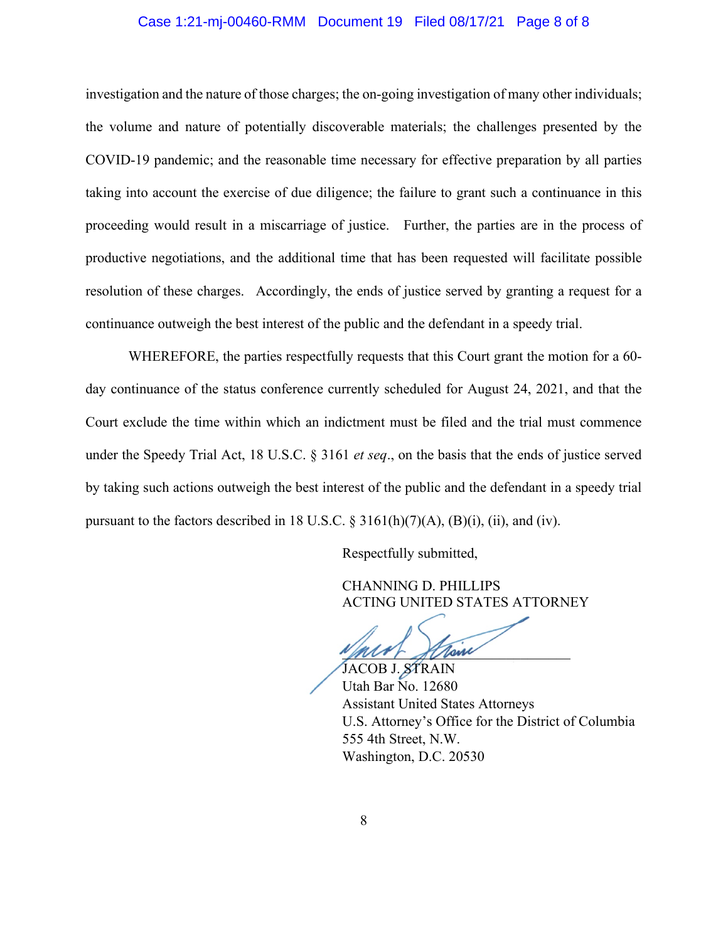## Case 1:21-mj-00460-RMM Document 19 Filed 08/17/21 Page 8 of 8

investigation and the nature of those charges; the on-going investigation of many other individuals; the volume and nature of potentially discoverable materials; the challenges presented by the COVID-19 pandemic; and the reasonable time necessary for effective preparation by all parties taking into account the exercise of due diligence; the failure to grant such a continuance in this proceeding would result in a miscarriage of justice. Further, the parties are in the process of productive negotiations, and the additional time that has been requested will facilitate possible resolution of these charges. Accordingly, the ends of justice served by granting a request for a continuance outweigh the best interest of the public and the defendant in a speedy trial.

WHEREFORE, the parties respectfully requests that this Court grant the motion for a 60 day continuance of the status conference currently scheduled for August 24, 2021, and that the Court exclude the time within which an indictment must be filed and the trial must commence under the Speedy Trial Act, 18 U.S.C. § 3161 *et seq*., on the basis that the ends of justice served by taking such actions outweigh the best interest of the public and the defendant in a speedy trial pursuant to the factors described in 18 U.S.C.  $\S 3161(h)(7)(A)$ ,  $(B)(i)$ ,  $(ii)$ , and  $(iv)$ .

Respectfully submitted,

CHANNING D. PHILLIPS ACTING UNITED STATES ATTORNEY

Main Stram

JACOB J. STRAIN Utah Bar No. 12680 Assistant United States Attorneys U.S. Attorney's Office for the District of Columbia 555 4th Street, N.W. Washington, D.C. 20530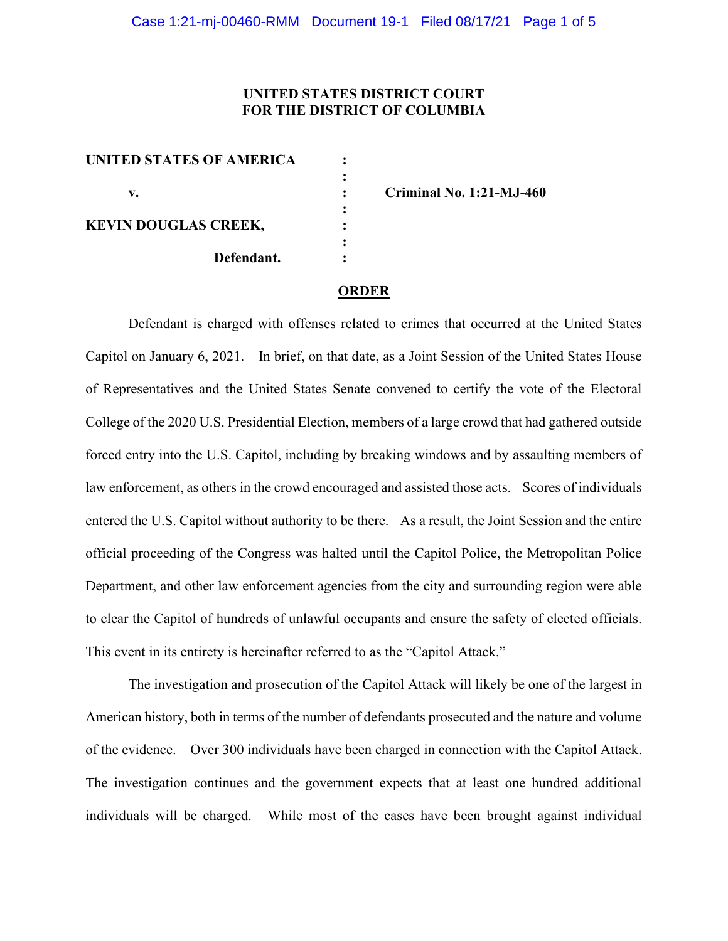## **UNITED STATES DISTRICT COURT FOR THE DISTRICT OF COLUMBIA**

| <b>UNITED STATES OF AMERICA</b> |  |
|---------------------------------|--|
|                                 |  |
| v.                              |  |
|                                 |  |
| <b>KEVIN DOUGLAS CREEK,</b>     |  |
|                                 |  |
| Defendant.                      |  |
|                                 |  |

**v. : Criminal No. 1:21-MJ-460**

#### **ORDER**

Defendant is charged with offenses related to crimes that occurred at the United States Capitol on January 6, 2021. In brief, on that date, as a Joint Session of the United States House of Representatives and the United States Senate convened to certify the vote of the Electoral College of the 2020 U.S. Presidential Election, members of a large crowd that had gathered outside forced entry into the U.S. Capitol, including by breaking windows and by assaulting members of law enforcement, as others in the crowd encouraged and assisted those acts. Scores of individuals entered the U.S. Capitol without authority to be there. As a result, the Joint Session and the entire official proceeding of the Congress was halted until the Capitol Police, the Metropolitan Police Department, and other law enforcement agencies from the city and surrounding region were able to clear the Capitol of hundreds of unlawful occupants and ensure the safety of elected officials. This event in its entirety is hereinafter referred to as the "Capitol Attack."

The investigation and prosecution of the Capitol Attack will likely be one of the largest in American history, both in terms of the number of defendants prosecuted and the nature and volume of the evidence. Over 300 individuals have been charged in connection with the Capitol Attack. The investigation continues and the government expects that at least one hundred additional individuals will be charged. While most of the cases have been brought against individual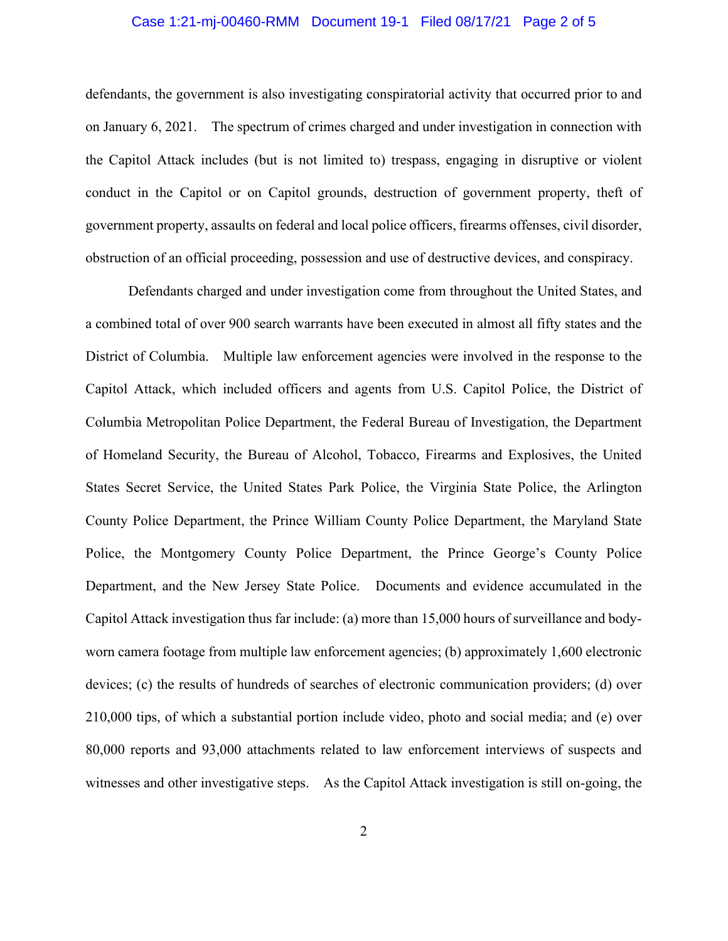## Case 1:21-mj-00460-RMM Document 19-1 Filed 08/17/21 Page 2 of 5

defendants, the government is also investigating conspiratorial activity that occurred prior to and on January 6, 2021. The spectrum of crimes charged and under investigation in connection with the Capitol Attack includes (but is not limited to) trespass, engaging in disruptive or violent conduct in the Capitol or on Capitol grounds, destruction of government property, theft of government property, assaults on federal and local police officers, firearms offenses, civil disorder, obstruction of an official proceeding, possession and use of destructive devices, and conspiracy.

Defendants charged and under investigation come from throughout the United States, and a combined total of over 900 search warrants have been executed in almost all fifty states and the District of Columbia. Multiple law enforcement agencies were involved in the response to the Capitol Attack, which included officers and agents from U.S. Capitol Police, the District of Columbia Metropolitan Police Department, the Federal Bureau of Investigation, the Department of Homeland Security, the Bureau of Alcohol, Tobacco, Firearms and Explosives, the United States Secret Service, the United States Park Police, the Virginia State Police, the Arlington County Police Department, the Prince William County Police Department, the Maryland State Police, the Montgomery County Police Department, the Prince George's County Police Department, and the New Jersey State Police. Documents and evidence accumulated in the Capitol Attack investigation thus far include: (a) more than 15,000 hours of surveillance and bodyworn camera footage from multiple law enforcement agencies; (b) approximately 1,600 electronic devices; (c) the results of hundreds of searches of electronic communication providers; (d) over 210,000 tips, of which a substantial portion include video, photo and social media; and (e) over 80,000 reports and 93,000 attachments related to law enforcement interviews of suspects and witnesses and other investigative steps. As the Capitol Attack investigation is still on-going, the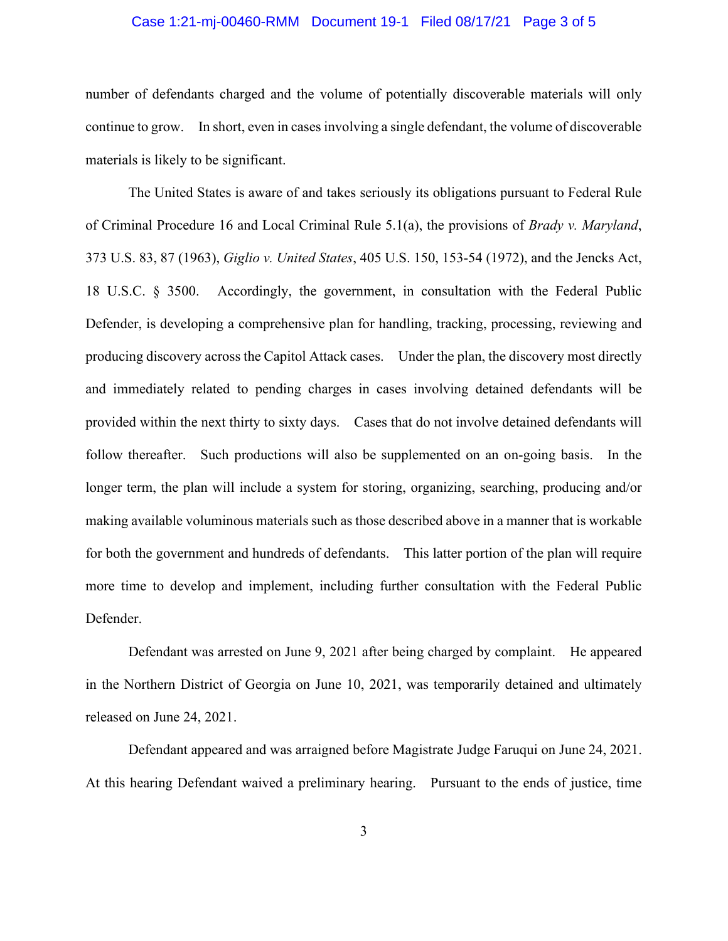## Case 1:21-mj-00460-RMM Document 19-1 Filed 08/17/21 Page 3 of 5

number of defendants charged and the volume of potentially discoverable materials will only continue to grow. In short, even in cases involving a single defendant, the volume of discoverable materials is likely to be significant.

The United States is aware of and takes seriously its obligations pursuant to Federal Rule of Criminal Procedure 16 and Local Criminal Rule 5.1(a), the provisions of *Brady v. Maryland*, 373 U.S. 83, 87 (1963), *Giglio v. United States*, 405 U.S. 150, 153-54 (1972), and the Jencks Act, 18 U.S.C. § 3500. Accordingly, the government, in consultation with the Federal Public Defender, is developing a comprehensive plan for handling, tracking, processing, reviewing and producing discovery across the Capitol Attack cases. Under the plan, the discovery most directly and immediately related to pending charges in cases involving detained defendants will be provided within the next thirty to sixty days. Cases that do not involve detained defendants will follow thereafter. Such productions will also be supplemented on an on-going basis. In the longer term, the plan will include a system for storing, organizing, searching, producing and/or making available voluminous materials such as those described above in a manner that is workable for both the government and hundreds of defendants. This latter portion of the plan will require more time to develop and implement, including further consultation with the Federal Public Defender.

Defendant was arrested on June 9, 2021 after being charged by complaint. He appeared in the Northern District of Georgia on June 10, 2021, was temporarily detained and ultimately released on June 24, 2021.

Defendant appeared and was arraigned before Magistrate Judge Faruqui on June 24, 2021. At this hearing Defendant waived a preliminary hearing. Pursuant to the ends of justice, time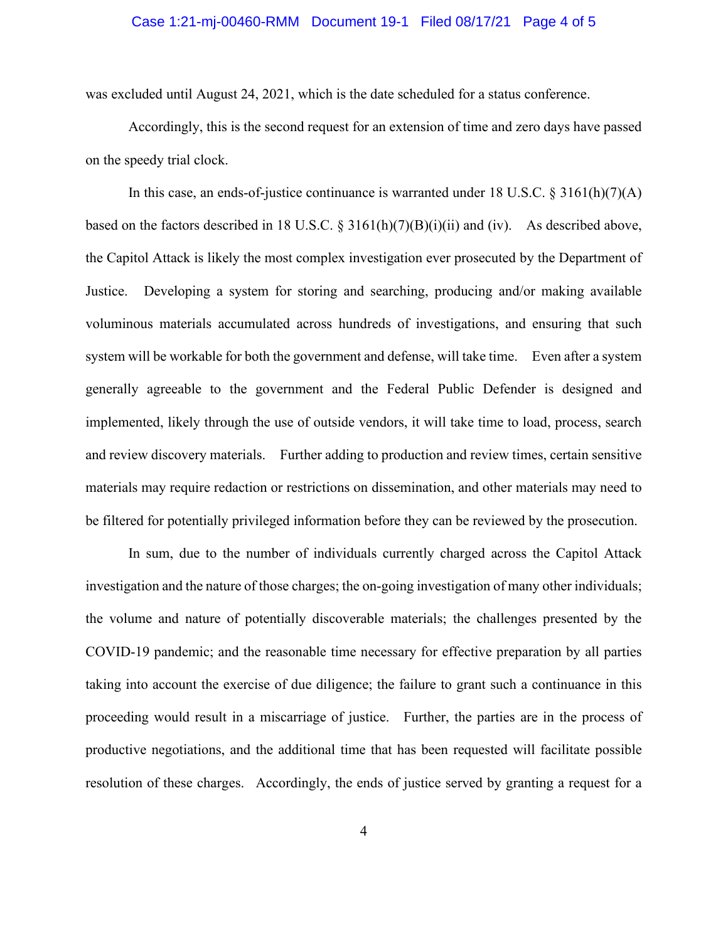#### Case 1:21-mj-00460-RMM Document 19-1 Filed 08/17/21 Page 4 of 5

was excluded until August 24, 2021, which is the date scheduled for a status conference.

Accordingly, this is the second request for an extension of time and zero days have passed on the speedy trial clock.

In this case, an ends-of-justice continuance is warranted under 18 U.S.C.  $\S 3161(h)(7)(A)$ based on the factors described in 18 U.S.C. § 3161(h)(7)(B)(i)(ii) and (iv). As described above, the Capitol Attack is likely the most complex investigation ever prosecuted by the Department of Justice. Developing a system for storing and searching, producing and/or making available voluminous materials accumulated across hundreds of investigations, and ensuring that such system will be workable for both the government and defense, will take time. Even after a system generally agreeable to the government and the Federal Public Defender is designed and implemented, likely through the use of outside vendors, it will take time to load, process, search and review discovery materials. Further adding to production and review times, certain sensitive materials may require redaction or restrictions on dissemination, and other materials may need to be filtered for potentially privileged information before they can be reviewed by the prosecution.

In sum, due to the number of individuals currently charged across the Capitol Attack investigation and the nature of those charges; the on-going investigation of many other individuals; the volume and nature of potentially discoverable materials; the challenges presented by the COVID-19 pandemic; and the reasonable time necessary for effective preparation by all parties taking into account the exercise of due diligence; the failure to grant such a continuance in this proceeding would result in a miscarriage of justice. Further, the parties are in the process of productive negotiations, and the additional time that has been requested will facilitate possible resolution of these charges. Accordingly, the ends of justice served by granting a request for a